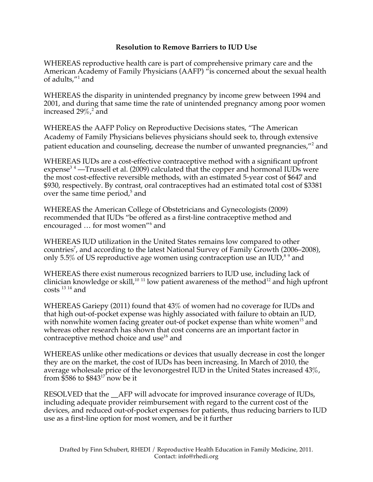## **Resolution to Remove Barriers to IUD Use**

WHEREAS reproductive health care is part of comprehensive primary care and the American Academy of Family Physicians (AAFP) <sup>"is</sup> concerned about the sexual health of adults,"<sup>1</sup> and

WHEREAS the disparity in unintended pregnancy by income grew between 1994 and 2001, and during that same time the rate of unintended pregnancy among poor women increased  $29\%$ ,  $^{2}$  and

WHEREAS the AAFP Policy on Reproductive Decisions states, "The American Academy of Family Physicians believes physicians should seek to, through extensive patient education and counseling, decrease the number of unwanted pregnancies,"<sup>2</sup> and

WHEREAS IUDs are a cost-effective contraceptive method with a significant upfront expense<sup>34</sup> —Trussell et al. (2009) calculated that the copper and hormonal IUDs were the most cost-effective reversible methods, with an estimated 5-year cost of \$647 and \$930, respectively. By contrast, oral contraceptives had an estimated total cost of \$3381 over the same time period,<sup>5</sup> and

WHEREAS the American College of Obstetricians and Gynecologists (2009) recommended that IUDs "be offered as a first-line contraceptive method and encouraged ... for most women"<sup>6</sup> and

WHEREAS IUD utilization in the United States remains low compared to other countries<sup>7</sup>, and according to the latest National Survey of Family Growth (2006–2008), only 5.5% of US reproductive age women using contraception use an IUD,  $89$  and

WHEREAS there exist numerous recognized barriers to IUD use, including lack of clinician knowledge or skill,<sup>10 11</sup> low patient awareness of the method<sup>12</sup> and high upfront  $costs$ <sup>13</sup><sup>14</sup> and

WHEREAS Gariepy (2011) found that 43% of women had no coverage for IUDs and that high out-of-pocket expense was highly associated with failure to obtain an IUD, with nonwhite women facing greater out-of pocket expense than white women<sup>15</sup> and whereas other research has shown that cost concerns are an important factor in contraceptive method choice and use<sup>16</sup> and

WHEREAS unlike other medications or devices that usually decrease in cost the longer they are on the market, the cost of IUDs has been increasing. In March of 2010, the average wholesale price of the levonorgestrel IUD in the United States increased 43%, from  $$586$  to  $$843^{17}$  now be it

RESOLVED that the AFP will advocate for improved insurance coverage of IUDs, including adequate provider reimbursement with regard to the current cost of the devices, and reduced out-of-pocket expenses for patients, thus reducing barriers to IUD use as a first-line option for most women, and be it further